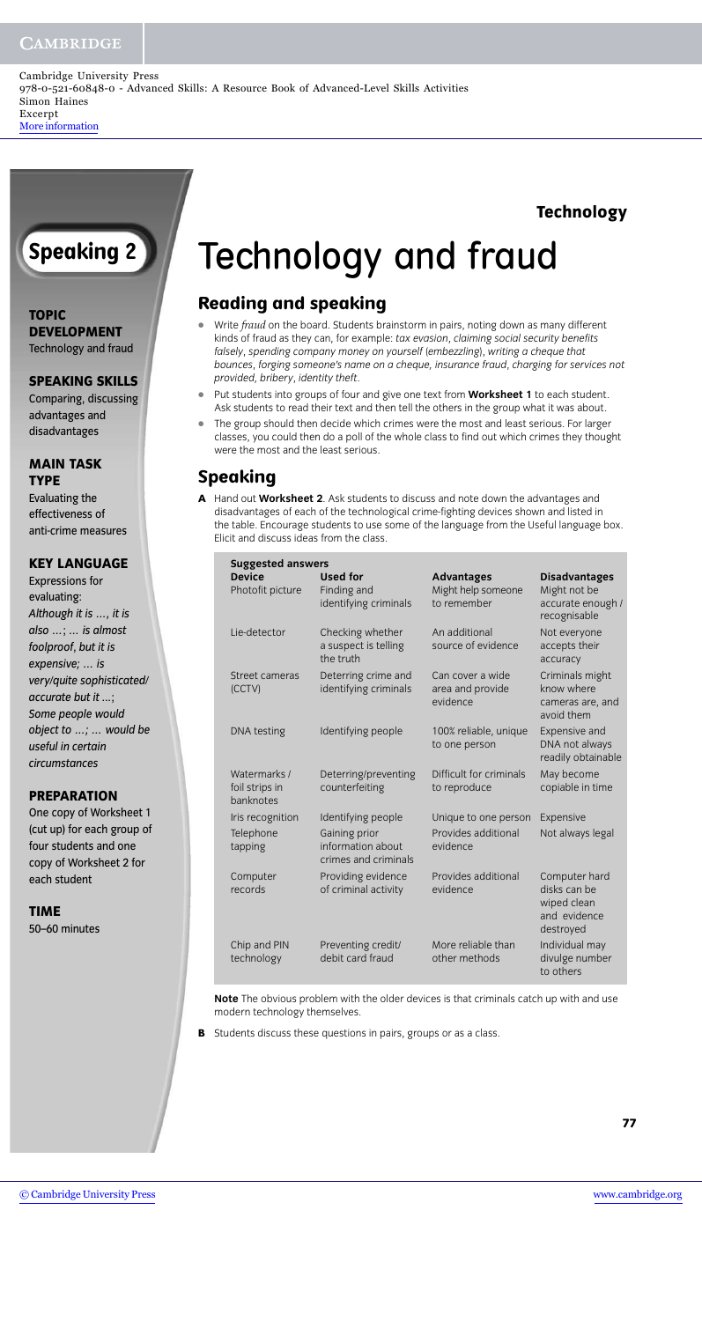#### **CAMBRIDGE**

Cambridge University Press 978-0-521-60848-0 - Advanced Skills: A Resource Book of Advanced-Level Skills Activities Simon Haines Excerpt [More information](http://www.cambridge.org/0521608481)

#### **Technology**

### **Speaking 2**

**TOPIC DEVELOPMENT** Technology and fraud

**SPEAKING SKILLS**

Comparing, discussing advantages and disadvantages

#### **MAIN TASK TYPE**

Evaluating the effectiveness of anti-crime measures

#### **KEY LANGUAGE**

Expressions for evaluating: *Although it is …, it is also …*; *… is almost foolproof*, *but it is expensive; … is very/quite sophisticated/ accurate but it ...*; *Some people would object to …; … would be useful in certain circumstances*

#### **PREPARATION**

One copy of Worksheet 1 (cut up) for each group of four students and one copy of Worksheet 2 for each student

#### **TIME**

50–60 minutes

## Technology and fraud

#### **Reading and speaking**

- **•** Write *fraud* on the board. Students brainstorm in pairs, noting down as many different kinds of fraud as they can, for example: *tax evasion*, *claiming social security benefits falsely*, *spending company money on yourself* (*embezzling*), *writing a cheque that bounces*, *forging someone's name on a cheque, insurance fraud*, *charging for services not provided, bribery*, *identity theft*.
- **•** Put students into groups of four and give one text from **Worksheet 1** to each student. Ask students to read their text and then tell the others in the group what it was about.
- **•** The group should then decide which crimes were the most and least serious. For larger classes, you could then do a poll of the whole class to find out which crimes they thought were the most and the least serious.

### **Speaking**

**A** Hand out **Worksheet 2**. Ask students to discuss and note down the advantages and disadvantages of each of the technological crime-fighting devices shown and listed in the table. Encourage students to use some of the language from the Useful language box. Elicit and discuss ideas from the class.

| <b>Suggested answers</b>                    |                                                            |                                                        |                                                                           |  |  |
|---------------------------------------------|------------------------------------------------------------|--------------------------------------------------------|---------------------------------------------------------------------------|--|--|
| <b>Device</b><br>Photofit picture           | <b>Used for</b><br>Finding and<br>identifying criminals    | <b>Advantages</b><br>Might help someone<br>to remember | <b>Disadvantages</b><br>Might not be<br>accurate enough /<br>recognisable |  |  |
| Lie-detector                                | Checking whether<br>a suspect is telling<br>the truth      | An additional<br>source of evidence                    | Not everyone<br>accepts their<br>accuracy                                 |  |  |
| Street cameras<br>(CCTV)                    | Deterring crime and<br>identifying criminals               | Can cover a wide<br>area and provide<br>evidence       | Criminals might<br>know where<br>cameras are, and<br>avoid them           |  |  |
| DNA testing                                 | Identifying people                                         | 100% reliable, unique<br>to one person                 | Expensive and<br>DNA not always<br>readily obtainable                     |  |  |
| Watermarks /<br>foil strips in<br>banknotes | Deterring/preventing<br>counterfeiting                     | Difficult for criminals<br>to reproduce                | May become<br>copiable in time                                            |  |  |
| Iris recognition                            | Identifying people                                         | Unique to one person                                   | Expensive                                                                 |  |  |
| Telephone<br>tapping                        | Gaining prior<br>information about<br>crimes and criminals | Provides additional<br>evidence                        | Not always legal                                                          |  |  |
| Computer<br>records                         | Providing evidence<br>of criminal activity                 | Provides additional<br>evidence                        | Computer hard<br>disks can be<br>wiped clean<br>and evidence<br>destroyed |  |  |
| Chip and PIN<br>technology                  | Preventing credit/<br>debit card fraud                     | More reliable than<br>other methods                    | Individual may<br>divulge number<br>to others                             |  |  |
|                                             |                                                            |                                                        |                                                                           |  |  |

**Note** The obvious problem with the older devices is that criminals catch up with and use modern technology themselves.

**B** Students discuss these questions in pairs, groups or as a class.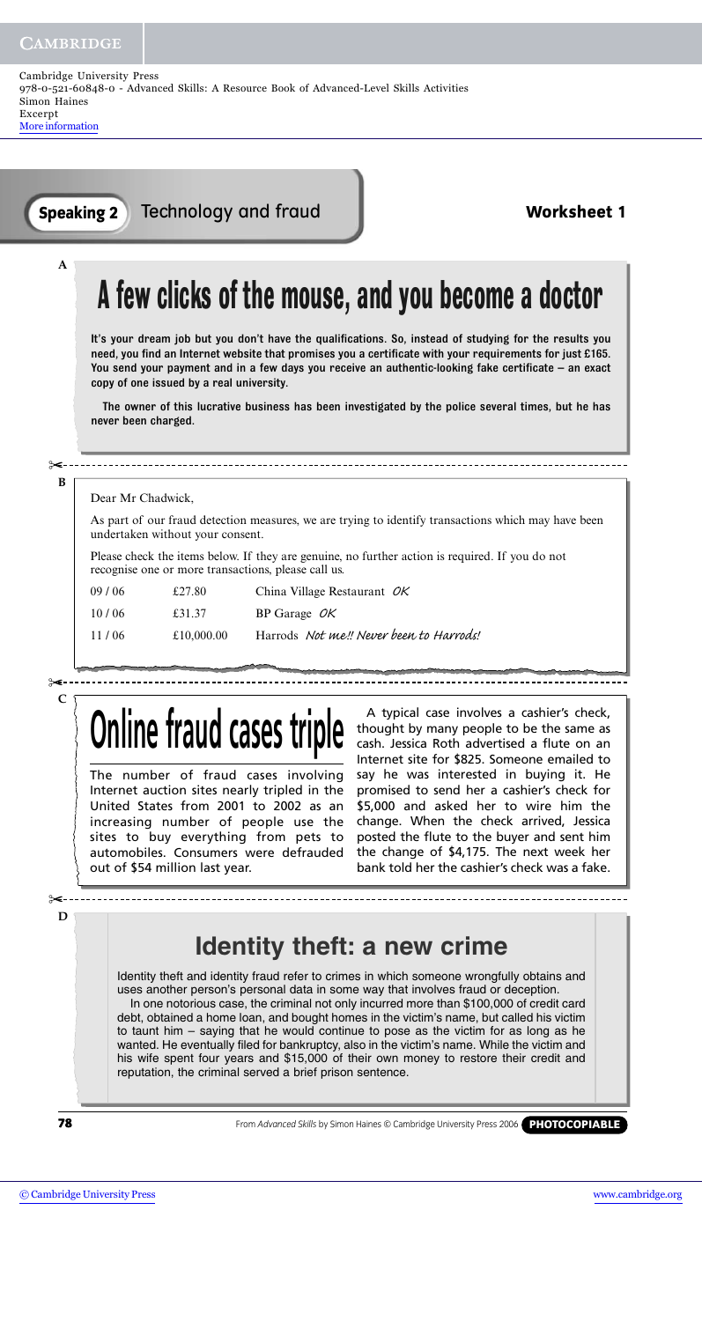**A**

Technology and fraud **Speaking 2 Worksheet 1**

## **A few clicks of the mouse, and you become a doctor**

It's your dream job but you don't have the qualifications. So, instead of studying for the results you need, you find an Internet website that promises you a certificate with your requirements for just £165. You send your payment and in a few days you receive an authentic-looking fake certificate – an exact copy of one issued by a real university.

The owner of this lucrative business has been investigated by the police several times, but he has never been charged.

#### **B** ✂

Dear Mr Chadwick,

As part of our fraud detection measures, we are trying to identify transactions which may have been undertaken without your consent.

Please check the items below. If they are genuine, no further action is required. If you do not recognise one or more transactions, please call us.

| 09/06 | £27.80     | China Village Restaurant $OK$           |
|-------|------------|-----------------------------------------|
| 10/06 | £31.37     | BP Garage $OK$                          |
| 11/06 | £10,000.00 | Harrods Not me!! Never been to Harrods. |

**C** ✂

# **Online fraud cases trip**

The number of fraud cases involving Internet auction sites nearly tripled in the United States from 2001 to 2002 as an increasing number of people use the sites to buy everything from pets to automobiles. Consumers were defrauded out of \$54 million last year.

A typical case involves a cashier's check, thought by many people to be the same as cash. Jessica Roth advertised a flute on an Internet site for \$825. Someone emailed to say he was interested in buying it. He promised to send her a cashier's check for \$5,000 and asked her to wire him the change. When the check arrived, Jessica posted the flute to the buyer and sent him the change of \$4,175. The next week her bank told her the cashier's check was a fake.

# **Identity theft: a new crime**

Identity theft and identity fraud refer to crimes in which someone wrongfully obtains and uses another person's personal data in some way that involves fraud or deception. In one notorious case, the criminal not only incurred more than \$100,000 of credit card debt, obtained a home loan, and bought homes in the victim's name, but called his victim to taunt him – saying that he would continue to pose as the victim for as long as he wanted. He eventually filed for bankruptcy, also in the victim's name. While the victim and his wife spent four years and \$15,000 of their own money to restore their credit and reputation, the criminal served a brief prison sentence.

**78**

**D**

✂

From *Advanced Skills* by Simon Haines © Cambridge University Press 2006 **PHOTOCOPIABLE**